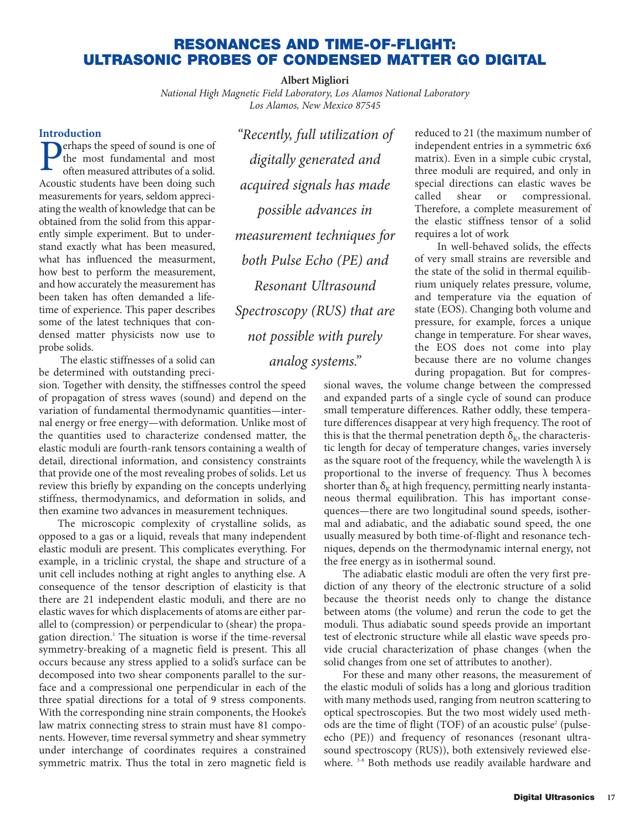# **RESONANCES AND TIME-OF-FLIGHT: ULTRASONIC PROBES OF CONDENSED MATTER GO DIGITAL**

#### **Albert Migliori**

*National High Magnetic Field Laboratory, Los Alamos National Laboratory Los Alamos, New Mexico 87545*

## **Introduction**

**Perhaps the speed of sound is one of** the most fundamental and most often measured attributes of a solid. the most fundamental and most often measured attributes of a solid. Acoustic students have been doing such measurements for years, seldom appreciating the wealth of knowledge that can be obtained from the solid from this apparently simple experiment. But to understand exactly what has been measured, what has influenced the measurment, how best to perform the measurement, and how accurately the measurement has been taken has often demanded a lifetime of experience. This paper describes some of the latest techniques that condensed matter physicists now use to probe solids.

The elastic stiffnesses of a solid can be determined with outstanding preci-

sion. Together with density, the stiffnesses control the speed of propagation of stress waves (sound) and depend on the variation of fundamental thermodynamic quantities—internal energy or free energy—with deformation. Unlike most of the quantities used to characterize condensed matter, the elastic moduli are fourth-rank tensors containing a wealth of detail, directional information, and consistency constraints that provide one of the most revealing probes of solids. Let us review this briefly by expanding on the concepts underlying stiffness, thermodynamics, and deformation in solids, and then examine two advances in measurement techniques.

The microscopic complexity of crystalline solids, as opposed to a gas or a liquid, reveals that many independent elastic moduli are present. This complicates everything. For example, in a triclinic crystal, the shape and structure of a unit cell includes nothing at right angles to anything else. A consequence of the tensor description of elasticity is that there are 21 independent elastic moduli, and there are no elastic waves for which displacements of atoms are either parallel to (compression) or perpendicular to (shear) the propagation direction.<sup>1</sup> The situation is worse if the time-reversal symmetry-breaking of a magnetic field is present. This all occurs because any stress applied to a solid's surface can be decomposed into two shear components parallel to the surface and a compressional one perpendicular in each of the three spatial directions for a total of 9 stress components. With the corresponding nine strain components, the Hooke's law matrix connecting stress to strain must have 81 components. However, time reversal symmetry and shear symmetry under interchange of coordinates requires a constrained symmetric matrix. Thus the total in zero magnetic field is

*"Recently, full utilization of digitally generated and acquired signals has made possible advances in measurement techniques for both Pulse Echo (PE) and Resonant Ultrasound Spectroscopy (RUS) that are not possible with purely analog systems."*

reduced to 21 (the maximum number of independent entries in a symmetric 6x6 matrix). Even in a simple cubic crystal, three moduli are required, and only in special directions can elastic waves be called shear or compressional. Therefore, a complete measurement of the elastic stiffness tensor of a solid requires a lot of work

In well-behaved solids, the effects of very small strains are reversible and the state of the solid in thermal equilibrium uniquely relates pressure, volume, and temperature via the equation of state (EOS). Changing both volume and pressure, for example, forces a unique change in temperature. For shear waves, the EOS does not come into play because there are no volume changes during propagation. But for compres-

sional waves, the volume change between the compressed and expanded parts of a single cycle of sound can produce small temperature differences. Rather oddly, these temperature differences disappear at very high frequency. The root of this is that the thermal penetration depth  $\delta_{\kappa}$ , the characteristic length for decay of temperature changes, varies inversely as the square root of the frequency, while the wavelength  $\lambda$  is proportional to the inverse of frequency. Thus  $\lambda$  becomes shorter than  $\delta_{\kappa}$  at high frequency, permitting nearly instantaneous thermal equilibration. This has important consequences—there are two longitudinal sound speeds, isothermal and adiabatic, and the adiabatic sound speed, the one usually measured by both time-of-flight and resonance techniques, depends on the thermodynamic internal energy, not the free energy as in isothermal sound.

The adiabatic elastic moduli are often the very first prediction of any theory of the electronic structure of a solid because the theorist needs only to change the distance between atoms (the volume) and rerun the code to get the moduli. Thus adiabatic sound speeds provide an important test of electronic structure while all elastic wave speeds provide crucial characterization of phase changes (when the solid changes from one set of attributes to another).

For these and many other reasons, the measurement of the elastic moduli of solids has a long and glorious tradition with many methods used, ranging from neutron scattering to optical spectroscopies. But the two most widely used methods are the time of flight (TOF) of an acoustic pulse<sup>2</sup> (pulseecho (PE)) and frequency of resonances (resonant ultrasound spectroscopy (RUS)), both extensively reviewed elsewhere. <sup>3-8</sup> Both methods use readily available hardware and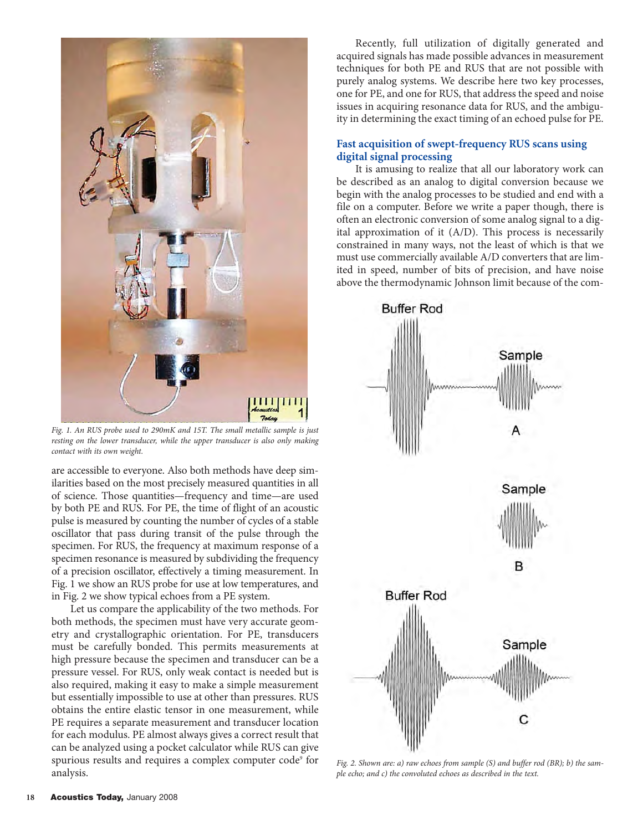

*Fig. 1. An RUS probe used to 290mK and 15T. The small metallic sample is just resting on the lower transducer, while the upper transducer is also only making contact with its own weight.*

are accessible to everyone. Also both methods have deep similarities based on the most precisely measured quantities in all of science. Those quantities—frequency and time—are used by both PE and RUS. For PE, the time of flight of an acoustic pulse is measured by counting the number of cycles of a stable oscillator that pass during transit of the pulse through the specimen. For RUS, the frequency at maximum response of a specimen resonance is measured by subdividing the frequency of a precision oscillator, effectively a timing measurement. In Fig. 1 we show an RUS probe for use at low temperatures, and in Fig. 2 we show typical echoes from a PE system.

Let us compare the applicability of the two methods. For both methods, the specimen must have very accurate geometry and crystallographic orientation. For PE, transducers must be carefully bonded. This permits measurements at high pressure because the specimen and transducer can be a pressure vessel. For RUS, only weak contact is needed but is also required, making it easy to make a simple measurement but essentially impossible to use at other than pressures. RUS obtains the entire elastic tensor in one measurement, while PE requires a separate measurement and transducer location for each modulus. PE almost always gives a correct result that can be analyzed using a pocket calculator while RUS can give spurious results and requires a complex computer code<sup>9</sup> for analysis.

Recently, full utilization of digitally generated and acquired signals has made possible advances in measurement techniques for both PE and RUS that are not possible with purely analog systems. We describe here two key processes, one for PE, and one for RUS, that address the speed and noise issues in acquiring resonance data for RUS, and the ambiguity in determining the exact timing of an echoed pulse for PE.

# **Fast acquisition of swept-frequency RUS scans using digital signal processing**

It is amusing to realize that all our laboratory work can be described as an analog to digital conversion because we begin with the analog processes to be studied and end with a file on a computer. Before we write a paper though, there is often an electronic conversion of some analog signal to a digital approximation of it (A/D). This process is necessarily constrained in many ways, not the least of which is that we must use commercially available A/D converters that are limited in speed, number of bits of precision, and have noise above the thermodynamic Johnson limit because of the com-



*Fig. 2. Shown are: a) raw echoes from sample (S) and buffer rod (BR); b) the sample echo; and c) the convoluted echoes as described in the text.*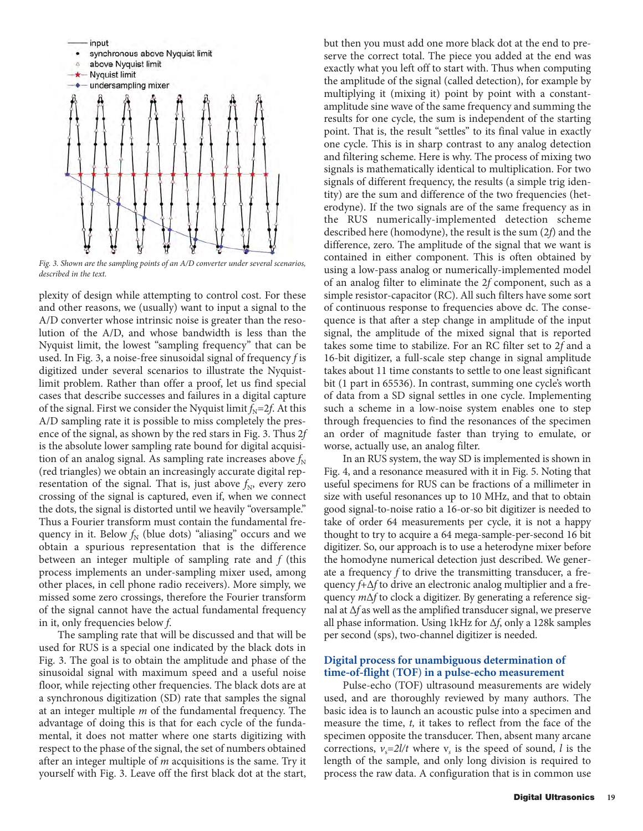

*Fig. 3. Shown are the sampling points of an A/D converter under several scenarios, described in the text.*

plexity of design while attempting to control cost. For these and other reasons, we (usually) want to input a signal to the A/D converter whose intrinsic noise is greater than the resolution of the A/D, and whose bandwidth is less than the Nyquist limit, the lowest "sampling frequency" that can be used. In Fig. 3, a noise-free sinusoidal signal of frequency *f* is digitized under several scenarios to illustrate the Nyquistlimit problem. Rather than offer a proof, let us find special cases that describe successes and failures in a digital capture of the signal. First we consider the Nyquist limit  $f_N=2f$ . At this A/D sampling rate it is possible to miss completely the presence of the signal, as shown by the red stars in Fig. 3. Thus 2*f* is the absolute lower sampling rate bound for digital acquisition of an analog signal. As sampling rate increases above  $f_N$ (red triangles) we obtain an increasingly accurate digital representation of the signal. That is, just above  $f_N$ , every zero crossing of the signal is captured, even if, when we connect the dots, the signal is distorted until we heavily "oversample." Thus a Fourier transform must contain the fundamental frequency in it. Below  $f_N$  (blue dots) "aliasing" occurs and we obtain a spurious representation that is the difference between an integer multiple of sampling rate and *f* (this process implements an under-sampling mixer used, among other places, in cell phone radio receivers). More simply, we missed some zero crossings, therefore the Fourier transform of the signal cannot have the actual fundamental frequency in it, only frequencies below *f*.

The sampling rate that will be discussed and that will be used for RUS is a special one indicated by the black dots in Fig. 3. The goal is to obtain the amplitude and phase of the sinusoidal signal with maximum speed and a useful noise floor, while rejecting other frequencies. The black dots are at a synchronous digitization (SD) rate that samples the signal at an integer multiple *m* of the fundamental frequency. The advantage of doing this is that for each cycle of the fundamental, it does not matter where one starts digitizing with respect to the phase of the signal, the set of numbers obtained after an integer multiple of *m* acquisitions is the same. Try it yourself with Fig. 3. Leave off the first black dot at the start,

but then you must add one more black dot at the end to preserve the correct total. The piece you added at the end was exactly what you left off to start with. Thus when computing the amplitude of the signal (called detection), for example by multiplying it (mixing it) point by point with a constantamplitude sine wave of the same frequency and summing the results for one cycle, the sum is independent of the starting point. That is, the result "settles" to its final value in exactly one cycle. This is in sharp contrast to any analog detection and filtering scheme. Here is why. The process of mixing two signals is mathematically identical to multiplication. For two signals of different frequency, the results (a simple trig identity) are the sum and difference of the two frequencies (heterodyne). If the two signals are of the same frequency as in the RUS numerically-implemented detection scheme described here (homodyne), the result is the sum (2*f*) and the difference, zero. The amplitude of the signal that we want is contained in either component. This is often obtained by using a low-pass analog or numerically-implemented model of an analog filter to eliminate the 2*f* component, such as a simple resistor-capacitor (RC). All such filters have some sort of continuous response to frequencies above dc. The consequence is that after a step change in amplitude of the input signal, the amplitude of the mixed signal that is reported takes some time to stabilize. For an RC filter set to 2*f* and a 16-bit digitizer, a full-scale step change in signal amplitude takes about 11 time constants to settle to one least significant bit (1 part in 65536). In contrast, summing one cycle's worth of data from a SD signal settles in one cycle. Implementing such a scheme in a low-noise system enables one to step through frequencies to find the resonances of the specimen an order of magnitude faster than trying to emulate, or worse, actually use, an analog filter.

In an RUS system, the way SD is implemented is shown in Fig. 4, and a resonance measured with it in Fig. 5. Noting that useful specimens for RUS can be fractions of a millimeter in size with useful resonances up to 10 MHz, and that to obtain good signal-to-noise ratio a 16-or-so bit digitizer is needed to take of order 64 measurements per cycle, it is not a happy thought to try to acquire a 64 mega-sample-per-second 16 bit digitizer. So, our approach is to use a heterodyne mixer before the homodyne numerical detection just described. We generate a frequency *f* to drive the transmitting transducer, a frequency *f*+Δ*f* to drive an electronic analog multiplier and a frequency *m*Δ*f* to clock a digitizer. By generating a reference signal at Δ*f* as well as the amplified transducer signal, we preserve all phase information. Using 1kHz for Δ*f*, only a 128k samples per second (sps), two-channel digitizer is needed.

## **Digital process for unambiguous determination of time-of-flight (TOF) in a pulse-echo measurement**

Pulse-echo (TOF) ultrasound measurements are widely used, and are thoroughly reviewed by many authors. The basic idea is to launch an acoustic pulse into a specimen and measure the time, *t,* it takes to reflect from the face of the specimen opposite the transducer. Then, absent many arcane corrections,  $v_s = 2l/t$  where  $v_s$  is the speed of sound, *l* is the length of the sample, and only long division is required to process the raw data. A configuration that is in common use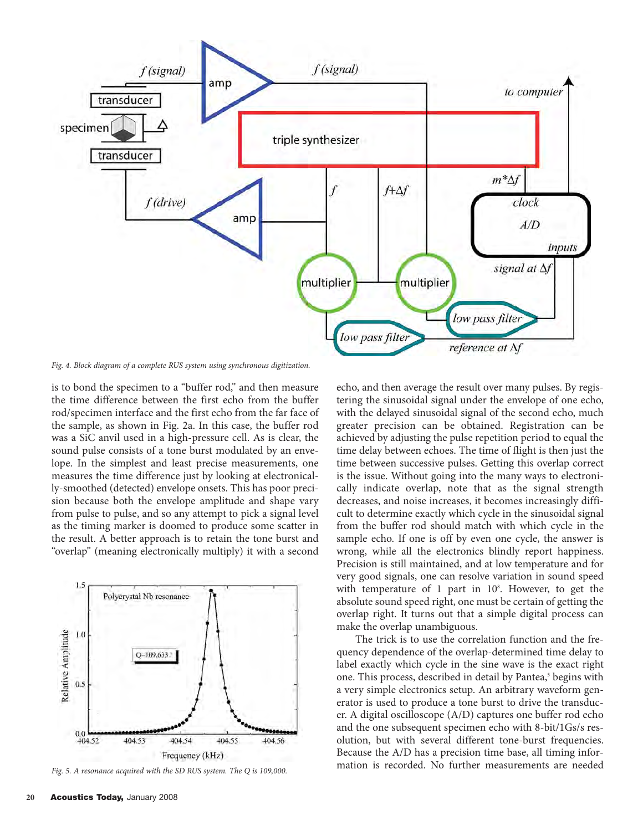

*Fig. 4. Block diagram of a complete RUS system using synchronous digitization.*

is to bond the specimen to a "buffer rod," and then measure the time difference between the first echo from the buffer rod/specimen interface and the first echo from the far face of the sample, as shown in Fig. 2a. In this case, the buffer rod was a SiC anvil used in a high-pressure cell. As is clear, the sound pulse consists of a tone burst modulated by an envelope. In the simplest and least precise measurements, one measures the time difference just by looking at electronically-smoothed (detected) envelope onsets. This has poor precision because both the envelope amplitude and shape vary from pulse to pulse, and so any attempt to pick a signal level as the timing marker is doomed to produce some scatter in the result. A better approach is to retain the tone burst and "overlap" (meaning electronically multiply) it with a second



*Fig. 5. A resonance acquired with the SD RUS system. The Q is 109,000.*

echo, and then average the result over many pulses. By registering the sinusoidal signal under the envelope of one echo, with the delayed sinusoidal signal of the second echo, much greater precision can be obtained. Registration can be achieved by adjusting the pulse repetition period to equal the time delay between echoes. The time of flight is then just the time between successive pulses. Getting this overlap correct is the issue. Without going into the many ways to electronically indicate overlap, note that as the signal strength decreases, and noise increases, it becomes increasingly difficult to determine exactly which cycle in the sinusoidal signal from the buffer rod should match with which cycle in the sample echo. If one is off by even one cycle, the answer is wrong, while all the electronics blindly report happiness. Precision is still maintained, and at low temperature and for very good signals, one can resolve variation in sound speed with temperature of 1 part in  $10<sup>s</sup>$ . However, to get the absolute sound speed right, one must be certain of getting the overlap right. It turns out that a simple digital process can make the overlap unambiguous.

The trick is to use the correlation function and the frequency dependence of the overlap-determined time delay to label exactly which cycle in the sine wave is the exact right one. This process, described in detail by Pantea,<sup>5</sup> begins with a very simple electronics setup. An arbitrary waveform generator is used to produce a tone burst to drive the transducer. A digital oscilloscope (A/D) captures one buffer rod echo and the one subsequent specimen echo with 8-bit/1Gs/s resolution, but with several different tone-burst frequencies. Because the A/D has a precision time base, all timing information is recorded. No further measurements are needed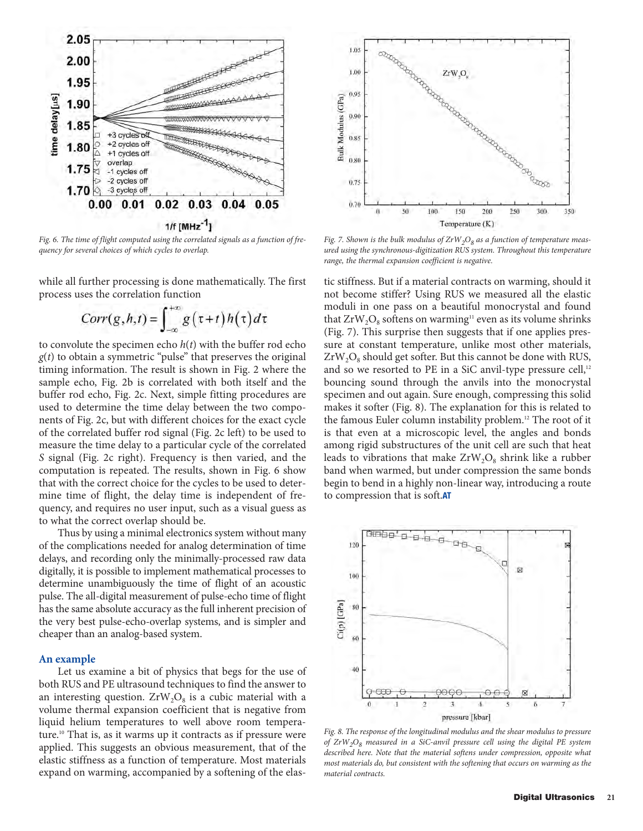

*Fig. 6. The time of flight computed using the correlated signals as a function of frequency for several choices of which cycles to overlap.*

while all further processing is done mathematically. The first process uses the correlation function

$$
Corr(g, h, t) = \int_{-\infty}^{+\infty} g(\tau + t) h(\tau) d\tau
$$

to convolute the specimen echo *h*(*t*) with the buffer rod echo *g*(*t*) to obtain a symmetric "pulse" that preserves the original timing information. The result is shown in Fig. 2 where the sample echo, Fig. 2b is correlated with both itself and the buffer rod echo, Fig. 2c. Next, simple fitting procedures are used to determine the time delay between the two components of Fig. 2c, but with different choices for the exact cycle of the correlated buffer rod signal (Fig. 2c left) to be used to measure the time delay to a particular cycle of the correlated *S* signal (Fig. 2c right). Frequency is then varied, and the computation is repeated. The results, shown in Fig. 6 show that with the correct choice for the cycles to be used to determine time of flight, the delay time is independent of frequency, and requires no user input, such as a visual guess as to what the correct overlap should be.

Thus by using a minimal electronics system without many of the complications needed for analog determination of time delays, and recording only the minimally-processed raw data digitally, it is possible to implement mathematical processes to determine unambiguously the time of flight of an acoustic pulse. The all-digital measurement of pulse-echo time of flight has the same absolute accuracy as the full inherent precision of the very best pulse-echo-overlap systems, and is simpler and cheaper than an analog-based system.

#### **An example**

Let us examine a bit of physics that begs for the use of both RUS and PE ultrasound techniques to find the answer to an interesting question.  $ZrW_2O_8$  is a cubic material with a volume thermal expansion coefficient that is negative from liquid helium temperatures to well above room temperature.10 That is, as it warms up it contracts as if pressure were applied. This suggests an obvious measurement, that of the elastic stiffness as a function of temperature. Most materials expand on warming, accompanied by a softening of the elas-



Fig. 7. Shown is the bulk modulus of  $ZrW_2O_8$  as a function of temperature meas*ured using the synchronous-digitization RUS system. Throughout this temperature range, the thermal expansion coefficient is negative.*

tic stiffness. But if a material contracts on warming, should it not become stiffer? Using RUS we measured all the elastic moduli in one pass on a beautiful monocrystal and found that  $ZrW_2O_8$  softens on warming<sup>11</sup> even as its volume shrinks (Fig. 7). This surprise then suggests that if one applies pressure at constant temperature, unlike most other materials,  $ZrW_2O_8$  should get softer. But this cannot be done with RUS, and so we resorted to PE in a SiC anvil-type pressure cell, $12$ bouncing sound through the anvils into the monocrystal specimen and out again. Sure enough, compressing this solid makes it softer (Fig. 8). The explanation for this is related to the famous Euler column instability problem.12 The root of it is that even at a microscopic level, the angles and bonds among rigid substructures of the unit cell are such that heat leads to vibrations that make  $ZrW_2O_8$  shrink like a rubber band when warmed, but under compression the same bonds begin to bend in a highly non-linear way, introducing a route to compression that is soft.**AT**



*Fig. 8. The response of the longitudinal modulus and the shear modulus to pressure of ZrW2O8 measured in a SiC-anvil pressure cell using the digital PE system described here. Note that the material softens under compression, opposite what most materials do, but consistent with the softening that occurs on warming as the material contracts.*